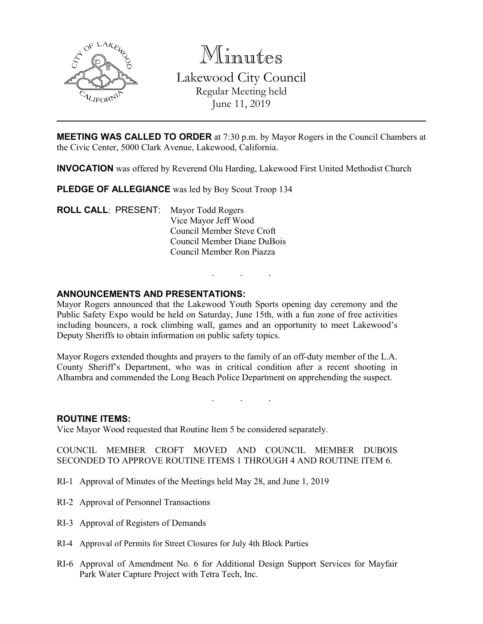

Minutes Lakewood City Council Regular Meeting held June 11, 2019

**MEETING WAS CALLED TO ORDER** at 7:30 p.m. by Mayor Rogers in the Council Chambers at the Civic Center, 5000 Clark Avenue, Lakewood, California.

**INVOCATION** was offered by Reverend Olu Harding, Lakewood First United Methodist Church

**PLEDGE OF ALLEGIANCE** was led by Boy Scout Troop 134

**ROLL CALL**: PRESENT: Mayor Todd Rogers Vice Mayor Jeff Wood Council Member Steve Croft Council Member Diane DuBois Council Member Ron Piazza

#### **ANNOUNCEMENTS AND PRESENTATIONS:**

Mayor Rogers announced that the Lakewood Youth Sports opening day ceremony and the Public Safety Expo would be held on Saturday, June 15th, with a fun zone of free activities including bouncers, a rock climbing wall, games and an opportunity to meet Lakewood's Deputy Sheriffs to obtain information on public safety topics.

. . .

Mayor Rogers extended thoughts and prayers to the family of an off-duty member of the L.A. County Sheriff's Department, who was in critical condition after a recent shooting in Alhambra and commended the Long Beach Police Department on apprehending the suspect.

. . .

#### **ROUTINE ITEMS:**

Vice Mayor Wood requested that Routine Item 5 be considered separately.

COUNCIL MEMBER CROFT MOVED AND COUNCIL MEMBER DUBOIS SECONDED TO APPROVE ROUTINE ITEMS 1 THROUGH 4 AND ROUTINE ITEM 6.

- RI-1 Approval of Minutes of the Meetings held May 28, and June 1, 2019
- RI-2 Approval of Personnel Transactions
- RI-3 Approval of Registers of Demands
- RI-4 Approval of Permits for Street Closures for July 4th Block Parties
- RI-6 Approval of Amendment No. 6 for Additional Design Support Services for Mayfair Park Water Capture Project with Tetra Tech, Inc.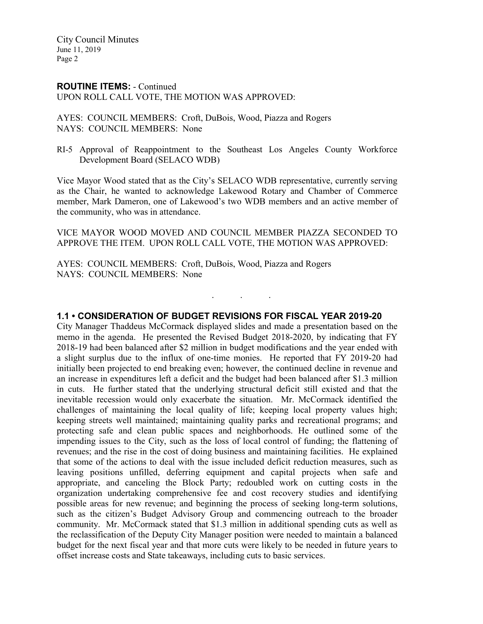# **ROUTINE ITEMS:** - Continued

UPON ROLL CALL VOTE, THE MOTION WAS APPROVED:

AYES: COUNCIL MEMBERS: Croft, DuBois, Wood, Piazza and Rogers NAYS: COUNCIL MEMBERS: None

RI-5 Approval of Reappointment to the Southeast Los Angeles County Workforce Development Board (SELACO WDB)

Vice Mayor Wood stated that as the City's SELACO WDB representative, currently serving as the Chair, he wanted to acknowledge Lakewood Rotary and Chamber of Commerce member, Mark Dameron, one of Lakewood's two WDB members and an active member of the community, who was in attendance.

VICE MAYOR WOOD MOVED AND COUNCIL MEMBER PIAZZA SECONDED TO APPROVE THE ITEM. UPON ROLL CALL VOTE, THE MOTION WAS APPROVED:

. . .

AYES: COUNCIL MEMBERS: Croft, DuBois, Wood, Piazza and Rogers NAYS: COUNCIL MEMBERS: None

# **1.1 • CONSIDERATION OF BUDGET REVISIONS FOR FISCAL YEAR 2019-20**

City Manager Thaddeus McCormack displayed slides and made a presentation based on the memo in the agenda. He presented the Revised Budget 2018-2020, by indicating that FY 2018-19 had been balanced after \$2 million in budget modifications and the year ended with a slight surplus due to the influx of one-time monies. He reported that FY 2019-20 had initially been projected to end breaking even; however, the continued decline in revenue and an increase in expenditures left a deficit and the budget had been balanced after \$1.3 million in cuts. He further stated that the underlying structural deficit still existed and that the inevitable recession would only exacerbate the situation. Mr. McCormack identified the challenges of maintaining the local quality of life; keeping local property values high; keeping streets well maintained; maintaining quality parks and recreational programs; and protecting safe and clean public spaces and neighborhoods. He outlined some of the impending issues to the City, such as the loss of local control of funding; the flattening of revenues; and the rise in the cost of doing business and maintaining facilities. He explained that some of the actions to deal with the issue included deficit reduction measures, such as leaving positions unfilled, deferring equipment and capital projects when safe and appropriate, and canceling the Block Party; redoubled work on cutting costs in the organization undertaking comprehensive fee and cost recovery studies and identifying possible areas for new revenue; and beginning the process of seeking long-term solutions, such as the citizen's Budget Advisory Group and commencing outreach to the broader community. Mr. McCormack stated that \$1.3 million in additional spending cuts as well as the reclassification of the Deputy City Manager position were needed to maintain a balanced budget for the next fiscal year and that more cuts were likely to be needed in future years to offset increase costs and State takeaways, including cuts to basic services.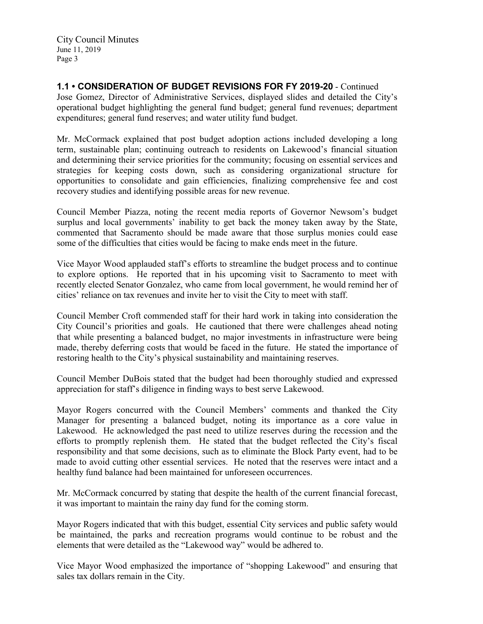**1.1 • CONSIDERATION OF BUDGET REVISIONS FOR FY 2019-20** - Continued Jose Gomez, Director of Administrative Services, displayed slides and detailed the City's operational budget highlighting the general fund budget; general fund revenues; department expenditures; general fund reserves; and water utility fund budget.

Mr. McCormack explained that post budget adoption actions included developing a long term, sustainable plan; continuing outreach to residents on Lakewood's financial situation and determining their service priorities for the community; focusing on essential services and strategies for keeping costs down, such as considering organizational structure for opportunities to consolidate and gain efficiencies, finalizing comprehensive fee and cost recovery studies and identifying possible areas for new revenue.

Council Member Piazza, noting the recent media reports of Governor Newsom's budget surplus and local governments' inability to get back the money taken away by the State, commented that Sacramento should be made aware that those surplus monies could ease some of the difficulties that cities would be facing to make ends meet in the future.

Vice Mayor Wood applauded staff's efforts to streamline the budget process and to continue to explore options. He reported that in his upcoming visit to Sacramento to meet with recently elected Senator Gonzalez, who came from local government, he would remind her of cities' reliance on tax revenues and invite her to visit the City to meet with staff.

Council Member Croft commended staff for their hard work in taking into consideration the City Council's priorities and goals. He cautioned that there were challenges ahead noting that while presenting a balanced budget, no major investments in infrastructure were being made, thereby deferring costs that would be faced in the future. He stated the importance of restoring health to the City's physical sustainability and maintaining reserves.

Council Member DuBois stated that the budget had been thoroughly studied and expressed appreciation for staff's diligence in finding ways to best serve Lakewood.

Mayor Rogers concurred with the Council Members' comments and thanked the City Manager for presenting a balanced budget, noting its importance as a core value in Lakewood. He acknowledged the past need to utilize reserves during the recession and the efforts to promptly replenish them. He stated that the budget reflected the City's fiscal responsibility and that some decisions, such as to eliminate the Block Party event, had to be made to avoid cutting other essential services. He noted that the reserves were intact and a healthy fund balance had been maintained for unforeseen occurrences.

Mr. McCormack concurred by stating that despite the health of the current financial forecast, it was important to maintain the rainy day fund for the coming storm.

Mayor Rogers indicated that with this budget, essential City services and public safety would be maintained, the parks and recreation programs would continue to be robust and the elements that were detailed as the "Lakewood way" would be adhered to.

Vice Mayor Wood emphasized the importance of "shopping Lakewood" and ensuring that sales tax dollars remain in the City.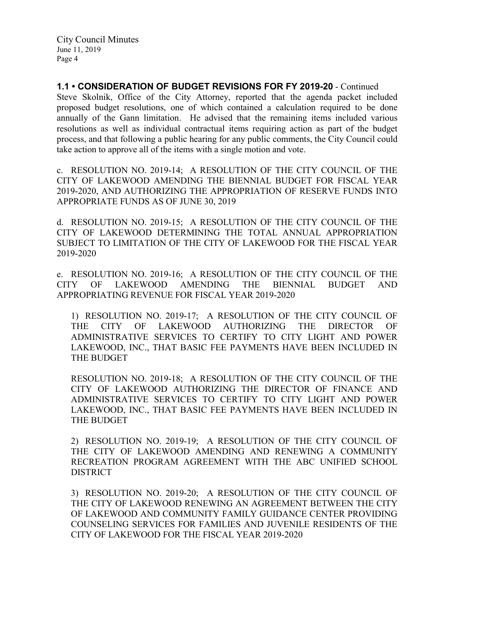**1.1 • CONSIDERATION OF BUDGET REVISIONS FOR FY 2019-20** - Continued

Steve Skolnik, Office of the City Attorney, reported that the agenda packet included proposed budget resolutions, one of which contained a calculation required to be done annually of the Gann limitation. He advised that the remaining items included various resolutions as well as individual contractual items requiring action as part of the budget process, and that following a public hearing for any public comments, the City Council could take action to approve all of the items with a single motion and vote.

c. RESOLUTION NO. 2019-14; A RESOLUTION OF THE CITY COUNCIL OF THE CITY OF LAKEWOOD AMENDING THE BIENNIAL BUDGET FOR FISCAL YEAR 2019-2020, AND AUTHORIZING THE APPROPRIATION OF RESERVE FUNDS INTO APPROPRIATE FUNDS AS OF JUNE 30, 2019

d. RESOLUTION NO. 2019-15; A RESOLUTION OF THE CITY COUNCIL OF THE CITY OF LAKEWOOD DETERMINING THE TOTAL ANNUAL APPROPRIATION SUBJECT TO LIMITATION OF THE CITY OF LAKEWOOD FOR THE FISCAL YEAR 2019-2020

e. RESOLUTION NO. 2019-16; A RESOLUTION OF THE CITY COUNCIL OF THE CITY OF LAKEWOOD AMENDING THE BIENNIAL BUDGET AND APPROPRIATING REVENUE FOR FISCAL YEAR 2019-2020

1) RESOLUTION NO. 2019-17; A RESOLUTION OF THE CITY COUNCIL OF THE CITY OF LAKEWOOD AUTHORIZING THE DIRECTOR OF ADMINISTRATIVE SERVICES TO CERTIFY TO CITY LIGHT AND POWER LAKEWOOD, INC., THAT BASIC FEE PAYMENTS HAVE BEEN INCLUDED IN THE BUDGET

RESOLUTION NO. 2019-18; A RESOLUTION OF THE CITY COUNCIL OF THE CITY OF LAKEWOOD AUTHORIZING THE DIRECTOR OF FINANCE AND ADMINISTRATIVE SERVICES TO CERTIFY TO CITY LIGHT AND POWER LAKEWOOD, INC., THAT BASIC FEE PAYMENTS HAVE BEEN INCLUDED IN THE BUDGET

2) RESOLUTION NO. 2019-19; A RESOLUTION OF THE CITY COUNCIL OF THE CITY OF LAKEWOOD AMENDING AND RENEWING A COMMUNITY RECREATION PROGRAM AGREEMENT WITH THE ABC UNIFIED SCHOOL **DISTRICT** 

3) RESOLUTION NO. 2019-20; A RESOLUTION OF THE CITY COUNCIL OF THE CITY OF LAKEWOOD RENEWING AN AGREEMENT BETWEEN THE CITY OF LAKEWOOD AND COMMUNITY FAMILY GUIDANCE CENTER PROVIDING COUNSELING SERVICES FOR FAMILIES AND JUVENILE RESIDENTS OF THE CITY OF LAKEWOOD FOR THE FISCAL YEAR 2019-2020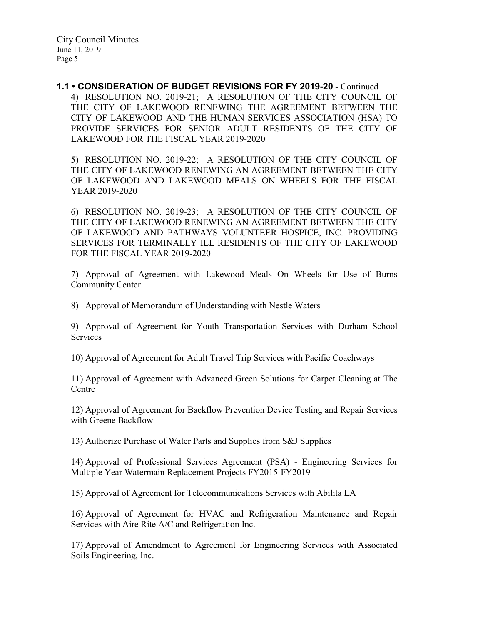**1.1 • CONSIDERATION OF BUDGET REVISIONS FOR FY 2019-20** - Continued 4) RESOLUTION NO. 2019-21; A RESOLUTION OF THE CITY COUNCIL OF THE CITY OF LAKEWOOD RENEWING THE AGREEMENT BETWEEN THE CITY OF LAKEWOOD AND THE HUMAN SERVICES ASSOCIATION (HSA) TO PROVIDE SERVICES FOR SENIOR ADULT RESIDENTS OF THE CITY OF LAKEWOOD FOR THE FISCAL YEAR 2019-2020

5) RESOLUTION NO. 2019-22; A RESOLUTION OF THE CITY COUNCIL OF THE CITY OF LAKEWOOD RENEWING AN AGREEMENT BETWEEN THE CITY OF LAKEWOOD AND LAKEWOOD MEALS ON WHEELS FOR THE FISCAL YEAR 2019-2020

6) RESOLUTION NO. 2019-23; A RESOLUTION OF THE CITY COUNCIL OF THE CITY OF LAKEWOOD RENEWING AN AGREEMENT BETWEEN THE CITY OF LAKEWOOD AND PATHWAYS VOLUNTEER HOSPICE, INC. PROVIDING SERVICES FOR TERMINALLY ILL RESIDENTS OF THE CITY OF LAKEWOOD FOR THE FISCAL YEAR 2019-2020

7) Approval of Agreement with Lakewood Meals On Wheels for Use of Burns Community Center

8) Approval of Memorandum of Understanding with Nestle Waters

9) Approval of Agreement for Youth Transportation Services with Durham School Services

10) Approval of Agreement for Adult Travel Trip Services with Pacific Coachways

11) Approval of Agreement with Advanced Green Solutions for Carpet Cleaning at The **Centre** 

12) Approval of Agreement for Backflow Prevention Device Testing and Repair Services with Greene Backflow

13) Authorize Purchase of Water Parts and Supplies from S&J Supplies

14) Approval of Professional Services Agreement (PSA) - Engineering Services for Multiple Year Watermain Replacement Projects FY2015-FY2019

15) Approval of Agreement for Telecommunications Services with Abilita LA

16) Approval of Agreement for HVAC and Refrigeration Maintenance and Repair Services with Aire Rite A/C and Refrigeration Inc.

17) Approval of Amendment to Agreement for Engineering Services with Associated Soils Engineering, Inc.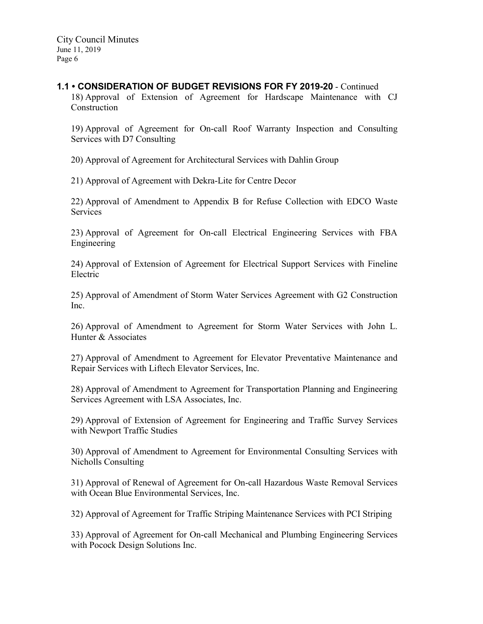#### **1.1 • CONSIDERATION OF BUDGET REVISIONS FOR FY 2019-20** - Continued

18) Approval of Extension of Agreement for Hardscape Maintenance with CJ Construction

19) Approval of Agreement for On-call Roof Warranty Inspection and Consulting Services with D7 Consulting

20) Approval of Agreement for Architectural Services with Dahlin Group

21) Approval of Agreement with Dekra-Lite for Centre Decor

22) Approval of Amendment to Appendix B for Refuse Collection with EDCO Waste Services

23) Approval of Agreement for On-call Electrical Engineering Services with FBA Engineering

24) Approval of Extension of Agreement for Electrical Support Services with Fineline Electric

25) Approval of Amendment of Storm Water Services Agreement with G2 Construction Inc.

26) Approval of Amendment to Agreement for Storm Water Services with John L. Hunter & Associates

27) Approval of Amendment to Agreement for Elevator Preventative Maintenance and Repair Services with Liftech Elevator Services, Inc.

28) Approval of Amendment to Agreement for Transportation Planning and Engineering Services Agreement with LSA Associates, Inc.

29) Approval of Extension of Agreement for Engineering and Traffic Survey Services with Newport Traffic Studies

30) Approval of Amendment to Agreement for Environmental Consulting Services with Nicholls Consulting

31) Approval of Renewal of Agreement for On-call Hazardous Waste Removal Services with Ocean Blue Environmental Services, Inc.

32) Approval of Agreement for Traffic Striping Maintenance Services with PCI Striping

33) Approval of Agreement for On-call Mechanical and Plumbing Engineering Services with Pocock Design Solutions Inc.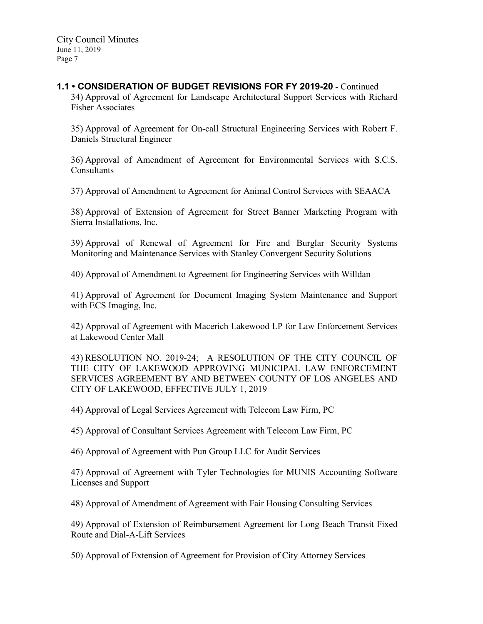# **1.1 • CONSIDERATION OF BUDGET REVISIONS FOR FY 2019-20** - Continued

34) Approval of Agreement for Landscape Architectural Support Services with Richard Fisher Associates

35) Approval of Agreement for On-call Structural Engineering Services with Robert F. Daniels Structural Engineer

36) Approval of Amendment of Agreement for Environmental Services with S.C.S. Consultants

37) Approval of Amendment to Agreement for Animal Control Services with SEAACA

38) Approval of Extension of Agreement for Street Banner Marketing Program with Sierra Installations, Inc.

39) Approval of Renewal of Agreement for Fire and Burglar Security Systems Monitoring and Maintenance Services with Stanley Convergent Security Solutions

40) Approval of Amendment to Agreement for Engineering Services with Willdan

41) Approval of Agreement for Document Imaging System Maintenance and Support with ECS Imaging, Inc.

42) Approval of Agreement with Macerich Lakewood LP for Law Enforcement Services at Lakewood Center Mall

43) RESOLUTION NO. 2019-24; A RESOLUTION OF THE CITY COUNCIL OF THE CITY OF LAKEWOOD APPROVING MUNICIPAL LAW ENFORCEMENT SERVICES AGREEMENT BY AND BETWEEN COUNTY OF LOS ANGELES AND CITY OF LAKEWOOD, EFFECTIVE JULY 1, 2019

44) Approval of Legal Services Agreement with Telecom Law Firm, PC

45) Approval of Consultant Services Agreement with Telecom Law Firm, PC

46) Approval of Agreement with Pun Group LLC for Audit Services

47) Approval of Agreement with Tyler Technologies for MUNIS Accounting Software Licenses and Support

48) Approval of Amendment of Agreement with Fair Housing Consulting Services

49) Approval of Extension of Reimbursement Agreement for Long Beach Transit Fixed Route and Dial-A-Lift Services

50) Approval of Extension of Agreement for Provision of City Attorney Services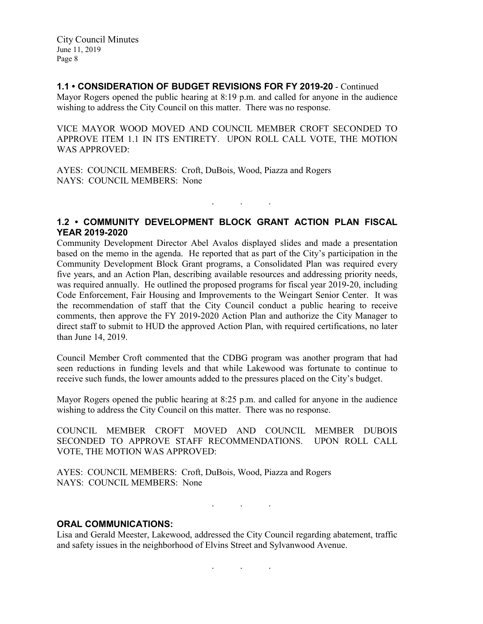### **1.1 • CONSIDERATION OF BUDGET REVISIONS FOR FY 2019-20** - Continued

Mayor Rogers opened the public hearing at 8:19 p.m. and called for anyone in the audience wishing to address the City Council on this matter. There was no response.

VICE MAYOR WOOD MOVED AND COUNCIL MEMBER CROFT SECONDED TO APPROVE ITEM 1.1 IN ITS ENTIRETY. UPON ROLL CALL VOTE, THE MOTION WAS APPROVED:

AYES: COUNCIL MEMBERS: Croft, DuBois, Wood, Piazza and Rogers NAYS: COUNCIL MEMBERS: None

#### **1.2 • COMMUNITY DEVELOPMENT BLOCK GRANT ACTION PLAN FISCAL YEAR 2019-2020**

. . .

Community Development Director Abel Avalos displayed slides and made a presentation based on the memo in the agenda. He reported that as part of the City's participation in the Community Development Block Grant programs, a Consolidated Plan was required every five years, and an Action Plan, describing available resources and addressing priority needs, was required annually. He outlined the proposed programs for fiscal year 2019-20, including Code Enforcement, Fair Housing and Improvements to the Weingart Senior Center. It was the recommendation of staff that the City Council conduct a public hearing to receive comments, then approve the FY 2019-2020 Action Plan and authorize the City Manager to direct staff to submit to HUD the approved Action Plan, with required certifications, no later than June 14, 2019.

Council Member Croft commented that the CDBG program was another program that had seen reductions in funding levels and that while Lakewood was fortunate to continue to receive such funds, the lower amounts added to the pressures placed on the City's budget.

Mayor Rogers opened the public hearing at 8:25 p.m. and called for anyone in the audience wishing to address the City Council on this matter. There was no response.

COUNCIL MEMBER CROFT MOVED AND COUNCIL MEMBER DUBOIS SECONDED TO APPROVE STAFF RECOMMENDATIONS. UPON ROLL CALL VOTE, THE MOTION WAS APPROVED:

AYES: COUNCIL MEMBERS: Croft, DuBois, Wood, Piazza and Rogers NAYS: COUNCIL MEMBERS: None

. . .

#### **ORAL COMMUNICATIONS:**

Lisa and Gerald Meester, Lakewood, addressed the City Council regarding abatement, traffic and safety issues in the neighborhood of Elvins Street and Sylvanwood Avenue.

. . .